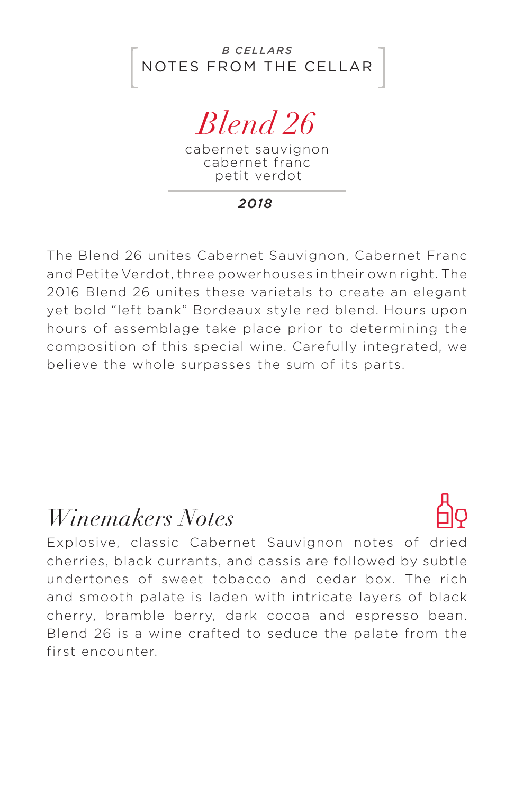NOTES FROM THE CELLAR *B CELLARS*

# *Blend 26*

cabernet sauvignon cabernet franc petit verdot

*2018*

The Blend 26 unites Cabernet Sauvignon, Cabernet Franc and Petite Verdot, three powerhouses in their own right. The 2016 Blend 26 unites these varietals to create an elegant yet bold "left bank" Bordeaux style red blend. Hours upon hours of assemblage take place prior to determining the composition of this special wine. Carefully integrated, we believe the whole surpasses the sum of its parts.

### *Winemakers Notes*

Explosive, classic Cabernet Sauvignon notes of dried cherries, black currants, and cassis are followed by subtle undertones of sweet tobacco and cedar box. The rich and smooth palate is laden with intricate layers of black cherry, bramble berry, dark cocoa and espresso bean. Blend 26 is a wine crafted to seduce the palate from the first encounter.